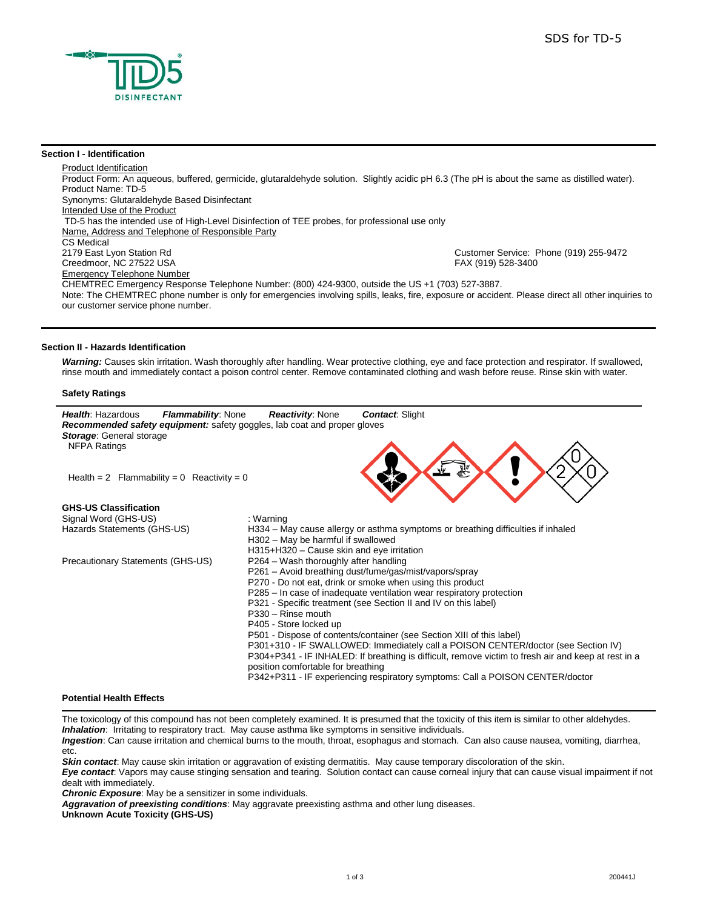

#### **Section I - Identification**

Product Identification Product Form: An aqueous, buffered, germicide, glutaraldehyde solution. Slightly acidic pH 6.3 (The pH is about the same as distilled water). Product Name: TD-5 Synonyms: Glutaraldehyde Based Disinfectant Intended Use of the Product TD-5 has the intended use of High-Level Disinfection of TEE probes, for professional use only Name, Address and Telephone of Responsible Party CS Medical<br>2179 East Lyon Station Rd Customer Service: Phone (919) 255-9472 Creedmoor, NC 27522 USA FAX (919) 528-3400 Emergency Telephone Number CHEMTREC Emergency Response Telephone Number: (800) 424-9300, outside the US +1 (703) 527-3887. Note: The CHEMTREC phone number is only for emergencies involving spills, leaks, fire, exposure or accident. Please direct all other inquiries to our customer service phone number.

#### **Section II - Hazards Identification**

*Warning:* Causes skin irritation. Wash thoroughly after handling. Wear protective clothing, eye and face protection and respirator. If swallowed, rinse mouth and immediately contact a poison control center. Remove contaminated clothing and wash before reuse. Rinse skin with water.

#### **Safety Ratings**



## **Potential Health Effects**

The toxicology of this compound has not been completely examined. It is presumed that the toxicity of this item is similar to other aldehydes. *Inhalation*: Irritating to respiratory tract. May cause asthma like symptoms in sensitive individuals.

*Ingestion*: Can cause irritation and chemical burns to the mouth, throat, esophagus and stomach. Can also cause nausea, vomiting, diarrhea, etc.

*Skin contact*: May cause skin irritation or aggravation of existing dermatitis. May cause temporary discoloration of the skin.

*Eye contact*: Vapors may cause stinging sensation and tearing. Solution contact can cause corneal injury that can cause visual impairment if not dealt with immediately.

*Chronic Exposure*: May be a sensitizer in some individuals.

*Aggravation of preexisting conditions*: May aggravate preexisting asthma and other lung diseases.

**Unknown Acute Toxicity (GHS-US)**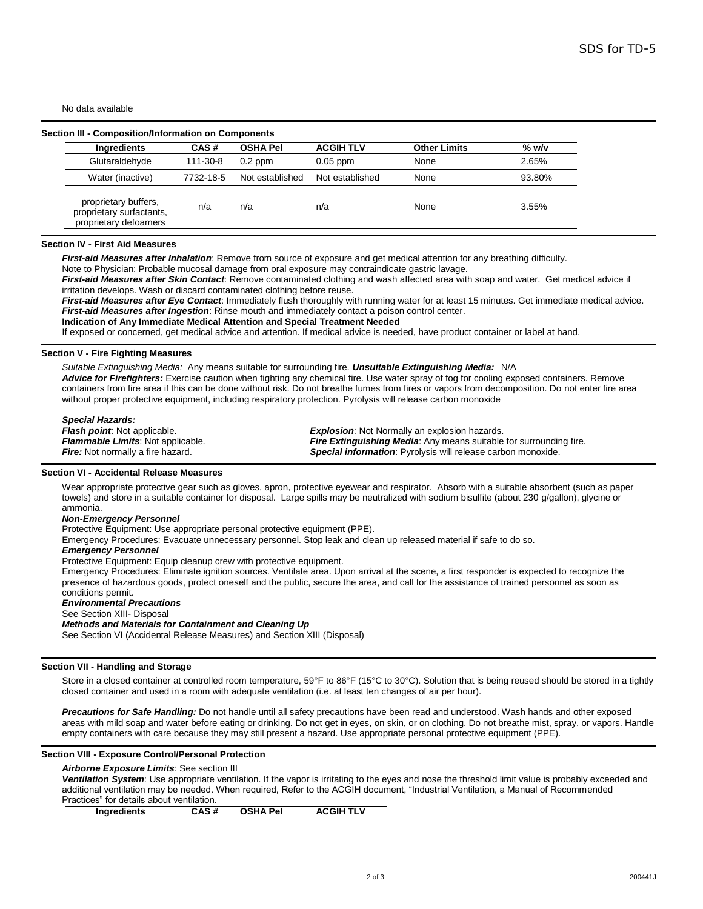No data available

| Ingredients                                                               | CAS#      | <b>OSHA Pel</b> | <b>ACGIH TLV</b> | <b>Other Limits</b> | $%$ w/v |
|---------------------------------------------------------------------------|-----------|-----------------|------------------|---------------------|---------|
| Glutaraldehyde                                                            | 111-30-8  | $0.2$ ppm       | $0.05$ ppm       | None                | 2.65%   |
| Water (inactive)                                                          | 7732-18-5 | Not established | Not established  | None                | 93.80%  |
| proprietary buffers,<br>proprietary surfactants,<br>proprietary defoamers | n/a       | n/a             | n/a              | None                | 3.55%   |

#### **Section IV - First Aid Measures**

*First-aid Measures after Inhalation*: Remove from source of exposure and get medical attention for any breathing difficulty.

Note to Physician: Probable mucosal damage from oral exposure may contraindicate gastric lavage.

*First-aid Measures after Skin Contact*: Remove contaminated clothing and wash affected area with soap and water. Get medical advice if irritation develops. Wash or discard contaminated clothing before reuse.

*First-aid Measures after Eye Contact*: Immediately flush thoroughly with running water for at least 15 minutes. Get immediate medical advice. *First-aid Measures after Ingestion*: Rinse mouth and immediately contact a poison control center.

**Indication of Any Immediate Medical Attention and Special Treatment Needed**

If exposed or concerned, get medical advice and attention. If medical advice is needed, have product container or label at hand.

#### **Section V - Fire Fighting Measures**

*Suitable Extinguishing Media:* Any means suitable for surrounding fire*. Unsuitable Extinguishing Media:* N/A Advice for Firefighters: Exercise caution when fighting any chemical fire. Use water spray of fog for cooling exposed containers. Remove containers from fire area if this can be done without risk. Do not breathe fumes from fires or vapors from decomposition. Do not enter fire area without proper protective equipment, including respiratory protection. Pyrolysis will release carbon monoxide

*Special Hazards: Flash point*: Not applicable. *Flammable Limits*: Not applicable. *Fire:* Not normally a fire hazard.

*Explosion*: Not Normally an explosion hazards. *Fire Extinguishing Media*: Any means suitable for surrounding fire. *Special information*: Pyrolysis will release carbon monoxide.

#### **Section VI - Accidental Release Measures**

Wear appropriate protective gear such as gloves, apron, protective eyewear and respirator. Absorb with a suitable absorbent (such as paper towels) and store in a suitable container for disposal. Large spills may be neutralized with sodium bisulfite (about 230 g/gallon), glycine or ammonia.

#### *Non-Emergency Personnel*

Protective Equipment: Use appropriate personal protective equipment (PPE).

Emergency Procedures: Evacuate unnecessary personnel. Stop leak and clean up released material if safe to do so.

#### *Emergency Personnel*

Protective Equipment: Equip cleanup crew with protective equipment.

Emergency Procedures: Eliminate ignition sources. Ventilate area. Upon arrival at the scene, a first responder is expected to recognize the presence of hazardous goods, protect oneself and the public, secure the area, and call for the assistance of trained personnel as soon as conditions permit.

#### *Environmental Precautions*

#### See Section XIII- Disposal

*Methods and Materials for Containment and Cleaning Up*

See Section VI (Accidental Release Measures) and Section XIII (Disposal)

#### **Section VII - Handling and Storage**

Store in a closed container at controlled room temperature, 59°F to 86°F (15°C to 30°C). Solution that is being reused should be stored in a tightly closed container and used in a room with adequate ventilation (i.e. at least ten changes of air per hour).

*Precautions for Safe Handling:* Do not handle until all safety precautions have been read and understood. Wash hands and other exposed areas with mild soap and water before eating or drinking. Do not get in eyes, on skin, or on clothing. Do not breathe mist, spray, or vapors. Handle empty containers with care because they may still present a hazard. Use appropriate personal protective equipment (PPE).

#### **Section VIII - Exposure Control/Personal Protection**

*Airborne Exposure Limits*: See section III

*Ventilation System*: Use appropriate ventilation. If the vapor is irritating to the eyes and nose the threshold limit value is probably exceeded and additional ventilation may be needed. When required, Refer to the ACGIH document, "Industrial Ventilation, a Manual of Recommended Practices" for details about ventilation.

| Ingredients | CAS # | <b>OSHA Pel</b> | <b>ACGIH TLV</b> |
|-------------|-------|-----------------|------------------|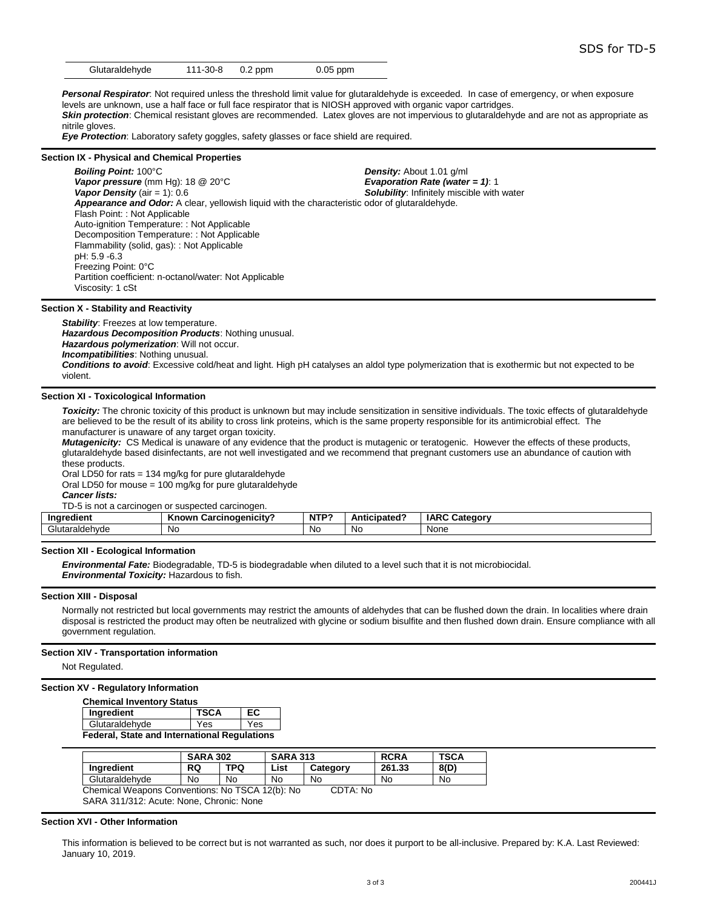| Glutaraldehyde<br>$0.05$ ppm<br>111-30-8<br>$0.2$ ppm |
|-------------------------------------------------------|
|-------------------------------------------------------|

**Personal Respirator**: Not required unless the threshold limit value for glutaraldehyde is exceeded. In case of emergency, or when exposure levels are unknown, use a half face or full face respirator that is NIOSH approved with organic vapor cartridges. *Skin protection*: Chemical resistant gloves are recommended. Latex gloves are not impervious to glutaraldehyde and are not as appropriate as nitrile gloves.

*Eye Protection*: Laboratory safety goggles, safety glasses or face shield are required.

#### **Section IX - Physical and Chemical Properties**

**Boiling Point:** 100°C **Density: Density:** About 1.01 g/ml<br>**Vapor pressure** (mm Hq): 18 @ 20°C **Density:** *Density:* **About 1.01 g/ml** *Vapor pressure* (mm Hg): 18 @ 20°C *Vapor Density* (air = 1): 0.6 *Solubility*: Infinitely miscible with water *Appearance and Odor:* A clear, yellowish liquid with the characteristic odor of glutaraldehyde. Flash Point: : Not Applicable Auto-ignition Temperature: : Not Applicable Decomposition Temperature: : Not Applicable Flammability (solid, gas): : Not Applicable pH: 5.9 -6.3 Freezing Point: 0°C Partition coefficient: n-octanol/water: Not Applicable Viscosity: 1 cSt

#### **Section X - Stability and Reactivity**

**Stability: Freezes at low temperature.** *Hazardous Decomposition Products*: Nothing unusual. *Hazardous polymerization*: Will not occur. *Incompatibilities*: Nothing unusual. *Conditions to avoid*: Excessive cold/heat and light. High pH catalyses an aldol type polymerization that is exothermic but not expected to be violent.

#### **Section XI - Toxicological Information**

*Toxicity:* The chronic toxicity of this product is unknown but may include sensitization in sensitive individuals. The toxic effects of glutaraldehyde are believed to be the result of its ability to cross link proteins, which is the same property responsible for its antimicrobial effect. The manufacturer is unaware of any target organ toxicity.

*Mutagenicity:* CS Medical is unaware of any evidence that the product is mutagenic or teratogenic. However the effects of these products, glutaraldehyde based disinfectants, are not well investigated and we recommend that pregnant customers use an abundance of caution with these products.

Oral LD50 for rats = 134 mg/kg for pure glutaraldehyde

Oral LD50 for mouse = 100 mg/kg for pure glutaraldehyde

*Cancer lists:*

TD-5 is not a carcinogen or suspected carcinogen.

| --<br>Ingredient                                    | . .<br>Known<br>"unoɑenicitv<br>Car | <b>NITD?</b><br>N. | $\cdots$ Anticinated C | <b>IARC</b><br>Category |
|-----------------------------------------------------|-------------------------------------|--------------------|------------------------|-------------------------|
| $\sim$<br>18061.00<br>$+$<br>/utaraldenyاف<br>v u u | Nr<br>้                             | <b>NC</b>          | .NG                    | None                    |

#### **Section XII - Ecological Information**

*Environmental Fate:* Biodegradable, TD-5 is biodegradable when diluted to a level such that it is not microbiocidal. *Environmental Toxicity:* Hazardous to fish.

#### **Section XIII - Disposal**

Normally not restricted but local governments may restrict the amounts of aldehydes that can be flushed down the drain. In localities where drain disposal is restricted the product may often be neutralized with glycine or sodium bisulfite and then flushed down drain. Ensure compliance with all government regulation.

### **Section XIV - Transportation information**

Not Regulated.

#### **Section XV - Regulatory Information**

| <b>Chemical Inventory Status</b>                    |             |    |  |  |
|-----------------------------------------------------|-------------|----|--|--|
| Ingredient                                          | <b>TSCA</b> | EC |  |  |
| Yes<br>Glutaraldehyde<br>Yes                        |             |    |  |  |
| <b>Federal, State and International Regulations</b> |             |    |  |  |

|                                                             | <b>SARA 302</b> |           | <b>SARA 313</b> |          | <b>RCRA</b> | <b>TSCA</b> |
|-------------------------------------------------------------|-----------------|-----------|-----------------|----------|-------------|-------------|
| Inaredient                                                  | <b>RQ</b>       | TPQ       | List            | Category | 261.33      | 8(D)        |
| Glutaraldehvde                                              | <b>No</b>       | <b>No</b> | <b>No</b>       | No       | No          | <b>No</b>   |
| Chemical Weapons Conventions: No TSCA 12(b): No<br>CDTA: No |                 |           |                 |          |             |             |
| SARA 311/312: Acute: None, Chronic: None                    |                 |           |                 |          |             |             |

#### **Section XVI - Other Information**

This information is believed to be correct but is not warranted as such, nor does it purport to be all-inclusive. Prepared by: K.A. Last Reviewed: January 10, 2019.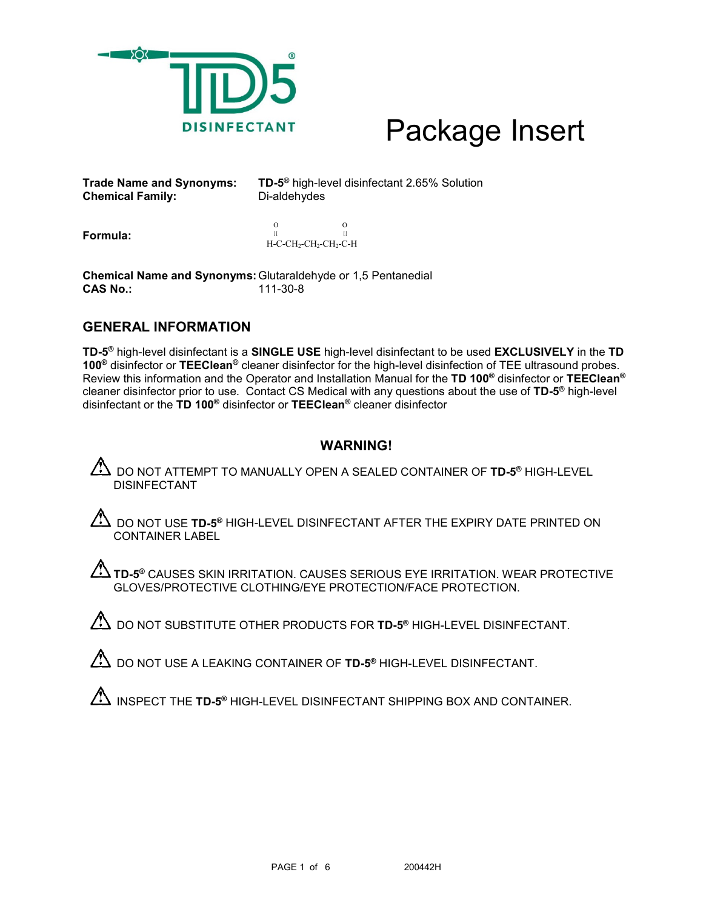

**Chemical Family:** 

**Trade Name and Synonyms: TD-5®** high-level disinfectant 2.65% Solution

**Formula:**

 O O  $\,$ II II<br>H-C-CH2-CH2-CH2-C-H

**Chemical Name and Synonyms:**Glutaraldehyde or 1,5 Pentanedial **CAS No.:** 

## **GENERAL INFORMATION**

**TD-5®** high-level disinfectant is a **SINGLE USE** high-level disinfectant to be used **EXCLUSIVELY** in the **TD 100®** disinfector or **TEEClean®** cleaner disinfector for the high-level disinfection of TEE ultrasound probes. Review this information and the Operator and Installation Manual for the **TD 100®** disinfector or **TEEClean®** cleaner disinfector prior to use. Contact CS Medical with any questions about the use of **TD-5®** high-level disinfectant or the **TD 100®** disinfector or **TEEClean®** cleaner disinfector

## **WARNING!**

DO NOT ATTEMPT TO MANUALLY OPEN A SEALED CONTAINER OF **TD-5®** HIGH-LEVEL DISINFECTANT

 $\Delta$  DO NOT USE **TD-5®** HIGH-LEVEL DISINFECTANT AFTER THE EXPIRY DATE PRINTED ON CONTAINER LABEL

**TD-5®** CAUSES SKIN IRRITATION. CAUSES SERIOUS EYE IRRITATION. WEAR PROTECTIVE GLOVES/PROTECTIVE CLOTHING/EYE PROTECTION/FACE PROTECTION.

 $\Delta$  do not substitute other products for TD-5<sup>®</sup> High-level disinfectant.

DO NOT USE A LEAKING CONTAINER OF **TD-5®** HIGH-LEVEL DISINFECTANT.

INSPECT THE **TD-5<sup>®</sup>** HIGH-LEVEL DISINFECTANT SHIPPING BOX AND CONTAINER.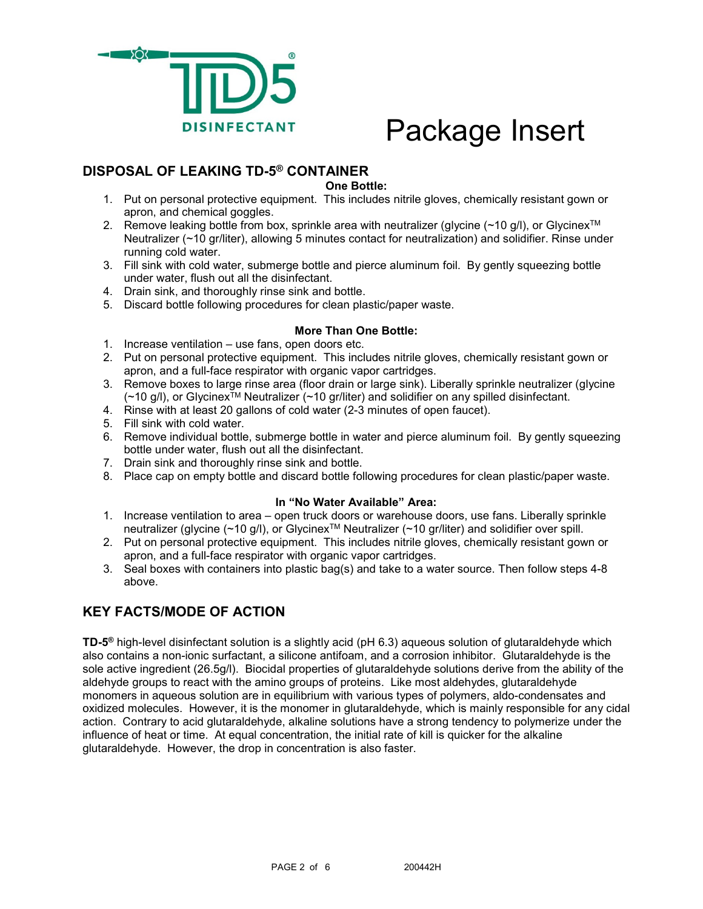

## **DISPOSAL OF LEAKING TD-5® CONTAINER**

**One Bottle:**

- 1. Put on personal protective equipment. This includes nitrile gloves, chemically resistant gown or apron, and chemical goggles.
- 2. Remove leaking bottle from box, sprinkle area with neutralizer (glycine  $(\sim 10 \text{ g/l})$ , or Glycinex<sup>TM</sup> Neutralizer (~10 gr/liter), allowing 5 minutes contact for neutralization) and solidifier. Rinse under running cold water.
- 3. Fill sink with cold water, submerge bottle and pierce aluminum foil. By gently squeezing bottle under water, flush out all the disinfectant.
- 4. Drain sink, and thoroughly rinse sink and bottle.
- 5. Discard bottle following procedures for clean plastic/paper waste.

## **More Than One Bottle:**

- 1. Increase ventilation use fans, open doors etc.
- 2. Put on personal protective equipment. This includes nitrile gloves, chemically resistant gown or apron, and a full-face respirator with organic vapor cartridges.
- 3. Remove boxes to large rinse area (floor drain or large sink). Liberally sprinkle neutralizer (glycine  $(\sim 10 \text{ g/l})$ , or Glycinex<sup>TM</sup> Neutralizer ( $\sim 10$  gr/liter) and solidifier on any spilled disinfectant.
- 4. Rinse with at least 20 gallons of cold water (2-3 minutes of open faucet).
- 5. Fill sink with cold water.
- 6. Remove individual bottle, submerge bottle in water and pierce aluminum foil. By gently squeezing bottle under water, flush out all the disinfectant.
- 7. Drain sink and thoroughly rinse sink and bottle.
- 8. Place cap on empty bottle and discard bottle following procedures for clean plastic/paper waste.

## **In "No Water Available" Area:**

- 1. Increase ventilation to area open truck doors or warehouse doors, use fans. Liberally sprinkle neutralizer (glycine (~10 g/l), or Glycinex™ Neutralizer (~10 gr/liter) and solidifier over spill.
- 2. Put on personal protective equipment. This includes nitrile gloves, chemically resistant gown or apron, and a full-face respirator with organic vapor cartridges.
- 3. Seal boxes with containers into plastic bag(s) and take to a water source. Then follow steps 4-8 above.

## **KEY FACTS/MODE OF ACTION**

**TD-5®** high-level disinfectant solution is a slightly acid (pH 6.3) aqueous solution of glutaraldehyde which also contains a non-ionic surfactant, a silicone antifoam, and a corrosion inhibitor. Glutaraldehyde is the sole active ingredient (26.5g/l). Biocidal properties of glutaraldehyde solutions derive from the ability of the aldehyde groups to react with the amino groups of proteins. Like most aldehydes, glutaraldehyde monomers in aqueous solution are in equilibrium with various types of polymers, aldo-condensates and oxidized molecules. However, it is the monomer in glutaraldehyde, which is mainly responsible for any cidal action. Contrary to acid glutaraldehyde, alkaline solutions have a strong tendency to polymerize under the influence of heat or time. At equal concentration, the initial rate of kill is quicker for the alkaline glutaraldehyde. However, the drop in concentration is also faster.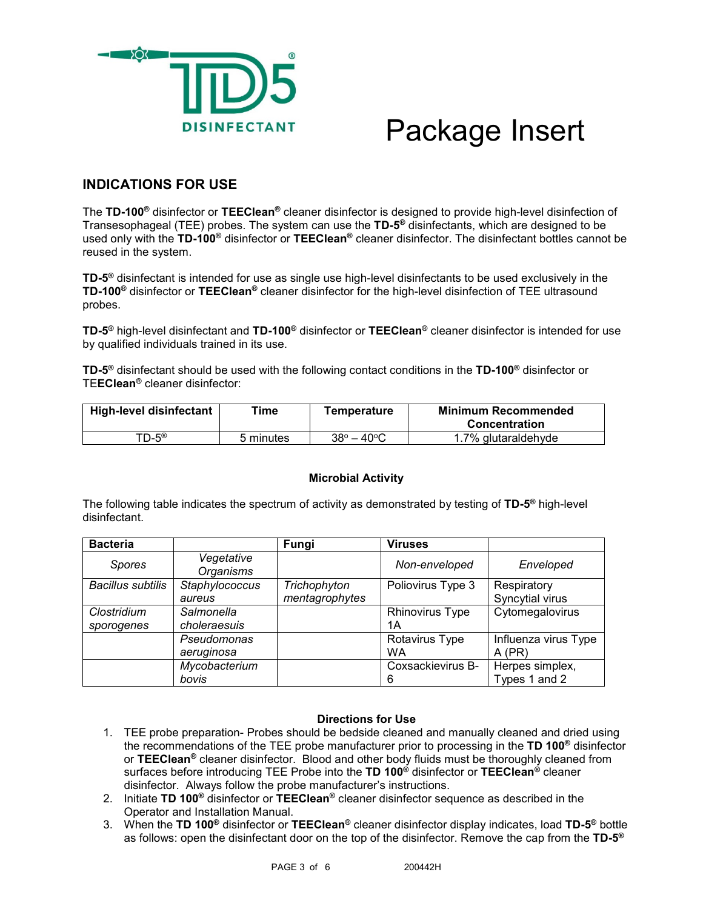

## **INDICATIONS FOR USE**

The **TD-100®** disinfector or **TEEClean®** cleaner disinfector is designed to provide high-level disinfection of Transesophageal (TEE) probes. The system can use the **TD-5®** disinfectants, which are designed to be used only with the **TD-100®** disinfector or **TEEClean®** cleaner disinfector. The disinfectant bottles cannot be reused in the system.

**TD-5®** disinfectant is intended for use as single use high-level disinfectants to be used exclusively in the **TD-100®** disinfector or **TEEClean®** cleaner disinfector for the high-level disinfection of TEE ultrasound probes.

**TD-5®** high-level disinfectant and **TD-100®** disinfector or **TEEClean®** cleaner disinfector is intended for use by qualified individuals trained in its use.

**TD-5®** disinfectant should be used with the following contact conditions in the **TD-100®** disinfector or TE**EClean®** cleaner disinfector:

| High-level disinfectant | Time      | <b>Temperature</b>          | Minimum Recommended<br>Concentration |
|-------------------------|-----------|-----------------------------|--------------------------------------|
| TD-5®                   | 5 minutes | $38^{\circ} - 40^{\circ}$ C | 1.7% glutaraldehyde                  |

## **Microbial Activity**

The following table indicates the spectrum of activity as demonstrated by testing of **TD-5®** high-level disinfectant.

| <b>Bacteria</b>          |                                | Fungi          | <b>Viruses</b>    |                      |
|--------------------------|--------------------------------|----------------|-------------------|----------------------|
| <b>Spores</b>            | Vegetative<br><b>Organisms</b> |                | Non-enveloped     | Enveloped            |
| <b>Bacillus subtilis</b> | Staphylococcus                 | Trichophyton   | Poliovirus Type 3 | Respiratory          |
|                          | aureus                         | mentagrophytes |                   | Syncytial virus      |
| Clostridium              | Salmonella                     |                | Rhinovirus Type   | Cytomegalovirus      |
| sporogenes               | choleraesuis                   |                | 1А                |                      |
|                          | Pseudomonas                    |                | Rotavirus Type    | Influenza virus Type |
|                          | aeruginosa                     |                | <b>WA</b>         | $A$ (PR)             |
|                          | Mycobacterium                  |                | Coxsackievirus B- | Herpes simplex,      |
|                          | bovis                          |                | 6                 | Types 1 and 2        |

## **Directions for Use**

- 1. TEE probe preparation- Probes should be bedside cleaned and manually cleaned and dried using the recommendations of the TEE probe manufacturer prior to processing in the **TD 100®** disinfector or **TEEClean®** cleaner disinfector. Blood and other body fluids must be thoroughly cleaned from surfaces before introducing TEE Probe into the **TD 100®** disinfector or **TEEClean®** cleaner disinfector. Always follow the probe manufacturer's instructions.
- 2. Initiate **TD 100®** disinfector or **TEEClean®** cleaner disinfector sequence as described in the Operator and Installation Manual.
- 3. When the **TD 100®** disinfector or **TEEClean®** cleaner disinfector display indicates, load **TD-5®** bottle as follows: open the disinfectant door on the top of the disinfector. Remove the cap from the **TD-5®**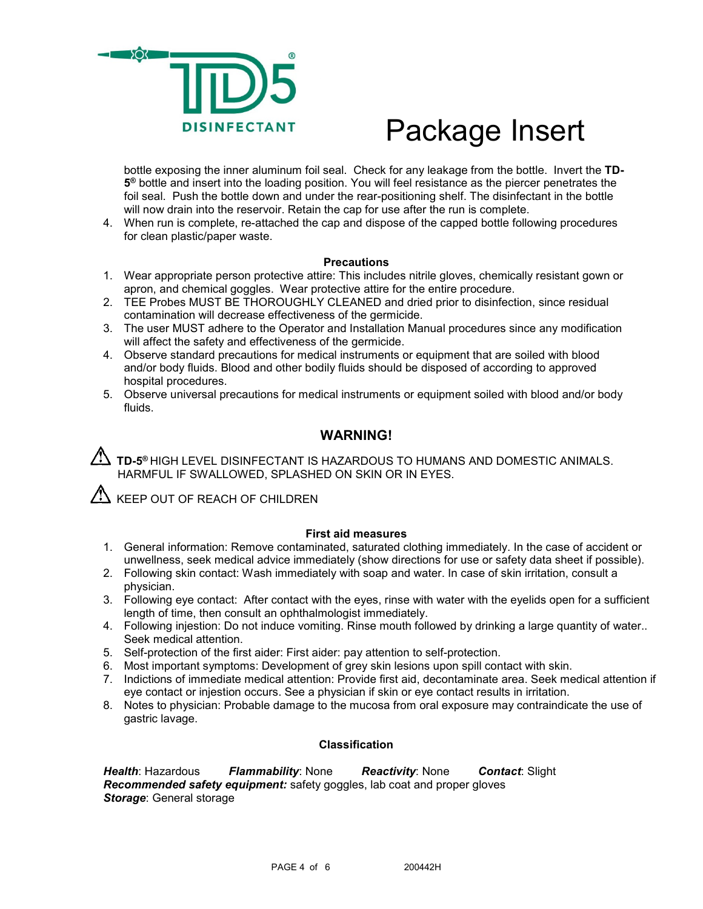

bottle exposing the inner aluminum foil seal. Check for any leakage from the bottle. Invert the **TD-5®** bottle and insert into the loading position. You will feel resistance as the piercer penetrates the foil seal. Push the bottle down and under the rear-positioning shelf. The disinfectant in the bottle will now drain into the reservoir. Retain the cap for use after the run is complete.

4. When run is complete, re-attached the cap and dispose of the capped bottle following procedures for clean plastic/paper waste.

## **Precautions**

- 1. Wear appropriate person protective attire: This includes nitrile gloves, chemically resistant gown or apron, and chemical goggles. Wear protective attire for the entire procedure.
- 2. TEE Probes MUST BE THOROUGHLY CLEANED and dried prior to disinfection, since residual contamination will decrease effectiveness of the germicide.
- 3. The user MUST adhere to the Operator and Installation Manual procedures since any modification will affect the safety and effectiveness of the germicide.
- 4. Observe standard precautions for medical instruments or equipment that are soiled with blood and/or body fluids. Blood and other bodily fluids should be disposed of according to approved hospital procedures.
- 5. Observe universal precautions for medical instruments or equipment soiled with blood and/or body fluids.

## **WARNING!**

**TD-5®** HIGH LEVEL DISINFECTANT IS HAZARDOUS TO HUMANS AND DOMESTIC ANIMALS. HARMFUL IF SWALLOWED, SPLASHED ON SKIN OR IN EYES.

 $\mathcal{L}\mathbf{N}$  KEEP OUT OF REACH OF CHILDREN

## **First aid measures**

- 1. General information: Remove contaminated, saturated clothing immediately. In the case of accident or unwellness, seek medical advice immediately (show directions for use or safety data sheet if possible).
- 2. Following skin contact: Wash immediately with soap and water. In case of skin irritation, consult a physician.
- 3. Following eye contact: After contact with the eyes, rinse with water with the eyelids open for a sufficient length of time, then consult an ophthalmologist immediately.
- 4. Following injestion: Do not induce vomiting. Rinse mouth followed by drinking a large quantity of water.. Seek medical attention.
- 5. Self-protection of the first aider: First aider: pay attention to self-protection.
- 6. Most important symptoms: Development of grey skin lesions upon spill contact with skin.
- 7. Indictions of immediate medical attention: Provide first aid, decontaminate area. Seek medical attention if eye contact or injestion occurs. See a physician if skin or eye contact results in irritation.
- 8. Notes to physician: Probable damage to the mucosa from oral exposure may contraindicate the use of gastric lavage.

## **Classification**

*Health*: Hazardous *Flammability*: None *Reactivity*: None *Contact*: Slight *Recommended safety equipment:* safety goggles, lab coat and proper gloves *Storage*: General storage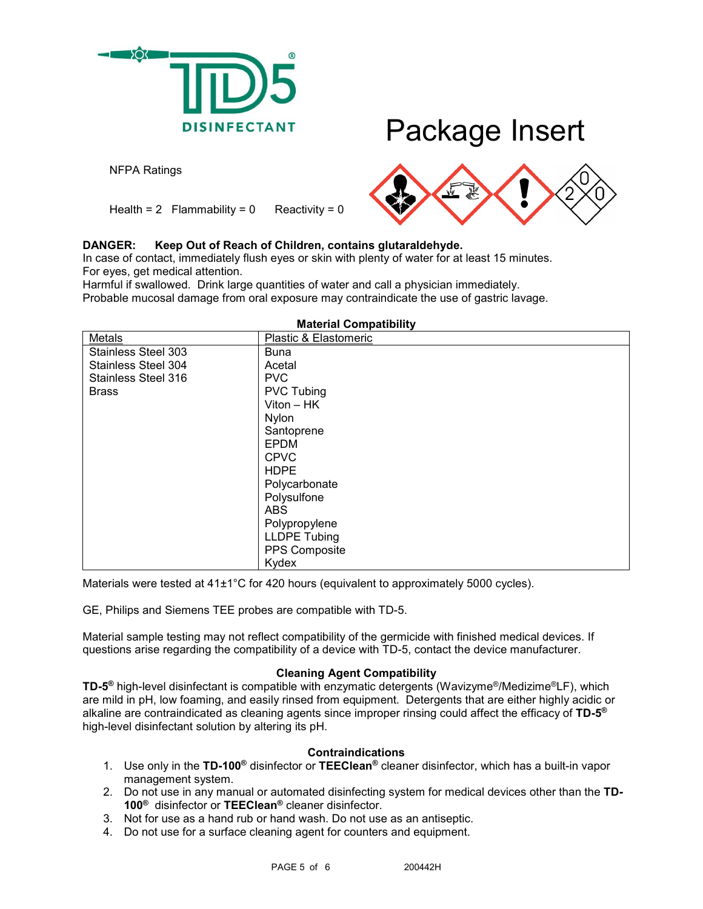

NFPA Ratings

Health =  $2$  Flammability =  $0$  Reactivity =  $0$ 



## **DANGER: Keep Out of Reach of Children, contains glutaraldehyde.**

In case of contact, immediately flush eyes or skin with plenty of water for at least 15 minutes. For eyes, get medical attention.

Harmful if swallowed. Drink large quantities of water and call a physician immediately. Probable mucosal damage from oral exposure may contraindicate the use of gastric lavage.

| Metals                     | Plastic & Elastomeric |
|----------------------------|-----------------------|
| <b>Stainless Steel 303</b> | <b>Buna</b>           |
| <b>Stainless Steel 304</b> | Acetal                |
| Stainless Steel 316        | <b>PVC</b>            |
| <b>Brass</b>               | <b>PVC Tubing</b>     |
|                            | $Viton - HK$          |
|                            | Nylon                 |
|                            | Santoprene            |
|                            | <b>EPDM</b>           |
|                            | <b>CPVC</b>           |
|                            | <b>HDPE</b>           |
|                            | Polycarbonate         |
|                            | Polysulfone           |
|                            | <b>ABS</b>            |
|                            | Polypropylene         |
|                            | <b>LLDPE Tubing</b>   |
|                            | PPS Composite         |
|                            | Kydex                 |

### **Material Compatibility**

Materials were tested at  $41\pm1\degree$ C for 420 hours (equivalent to approximately 5000 cycles).

GE, Philips and Siemens TEE probes are compatible with TD-5.

Material sample testing may not reflect compatibility of the germicide with finished medical devices. If questions arise regarding the compatibility of a device with TD-5, contact the device manufacturer.

## **Cleaning Agent Compatibility**

**TD-5®** high-level disinfectant is compatible with enzymatic detergents (Wavizyme®/Medizime®LF), which are mild in pH, low foaming, and easily rinsed from equipment. Detergents that are either highly acidic or alkaline are contraindicated as cleaning agents since improper rinsing could affect the efficacy of **TD-5®** high-level disinfectant solution by altering its pH.

## **Contraindications**

- 1. Use only in the **TD-100®** disinfector or **TEEClean®** cleaner disinfector, which has a built-in vapor management system.
- 2. Do not use in any manual or automated disinfecting system for medical devices other than the **TD-100®** disinfector or **TEEClean®** cleaner disinfector.
- 3. Not for use as a hand rub or hand wash. Do not use as an antiseptic.
- 4. Do not use for a surface cleaning agent for counters and equipment.